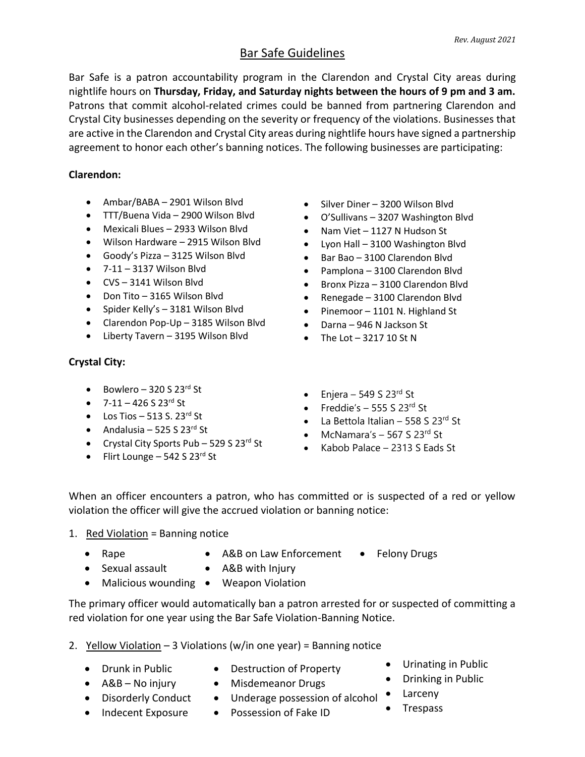# Bar Safe Guidelines

Bar Safe is a patron accountability program in the Clarendon and Crystal City areas during nightlife hours on **Thursday, Friday, and Saturday nights between the hours of 9 pm and 3 am.** Patrons that commit alcohol-related crimes could be banned from partnering Clarendon and Crystal City businesses depending on the severity or frequency of the violations. Businesses that are active in the Clarendon and Crystal City areas during nightlife hours have signed a partnership agreement to honor each other's banning notices. The following businesses are participating:

### **Clarendon:**

- Ambar/BABA 2901 Wilson Blvd
- TTT/Buena Vida 2900 Wilson Blvd
- Mexicali Blues 2933 Wilson Blvd
- Wilson Hardware 2915 Wilson Blvd
- Goody's Pizza 3125 Wilson Blvd
- 7-11 3137 Wilson Blvd
- CVS 3141 Wilson Blvd
- Don Tito 3165 Wilson Blvd
- Spider Kelly's 3181 Wilson Blvd
- Clarendon Pop-Up 3185 Wilson Blvd
- Liberty Tavern 3195 Wilson Blvd

## **Crystal City:**

- Bowlero 320 S 23 $^{rd}$  St
- $7-11 426 S 23^{rd}$  St
- Los Tios 513 S. 23 $^{rd}$  St
- Andalusia 525 S 23 $^{rd}$  St
- Crystal City Sports Pub 529 S 23<sup>rd</sup> St
- Flirt Lounge 542 S  $23^{rd}$  St
- Silver Diner 3200 Wilson Blvd
- O'Sullivans 3207 Washington Blvd
- Nam Viet 1127 N Hudson St
- Lyon Hall 3100 Washington Blvd
- Bar Bao 3100 Clarendon Blvd
- Pamplona 3100 Clarendon Blvd
- Bronx Pizza 3100 Clarendon Blvd
- Renegade 3100 Clarendon Blvd
- Pinemoor 1101 N. Highland St
- Darna 946 N Jackson St
- $\bullet$  The Lot  $-321710$  St N
- Enjera 549 S 23 $rd$  St
- Freddie's  $-$  555 S 23<sup>rd</sup> St
- La Bettola Italian 558 S 23 $^{rd}$  St
- McNamara's  $-$  567 S 23<sup>rd</sup> St
- Kabob Palace 2313 S Eads St

When an officer encounters a patron, who has committed or is suspected of a red or yellow violation the officer will give the accrued violation or banning notice:

### 1. Red Violation = Banning notice

- Rape
- A&B on Law Enforcement • Felony Drugs
- Sexual assault
- A&B with Injury
- Malicious wounding Weapon Violation

The primary officer would automatically ban a patron arrested for or suspected of committing a red violation for one year using the Bar Safe Violation-Banning Notice.

- 2. Yellow Violation  $-3$  Violations (w/in one year) = Banning notice
	- Drunk in Public
	- A&B No injury
- Destruction of Property
- Misdemeanor Drugs
	- Underage possession of alcohol Larceny
- Urinating in Public
- Drinking in Public
	-
	- **Trespass**
- Disorderly Conduct • Indecent Exposure
- Possession of Fake ID